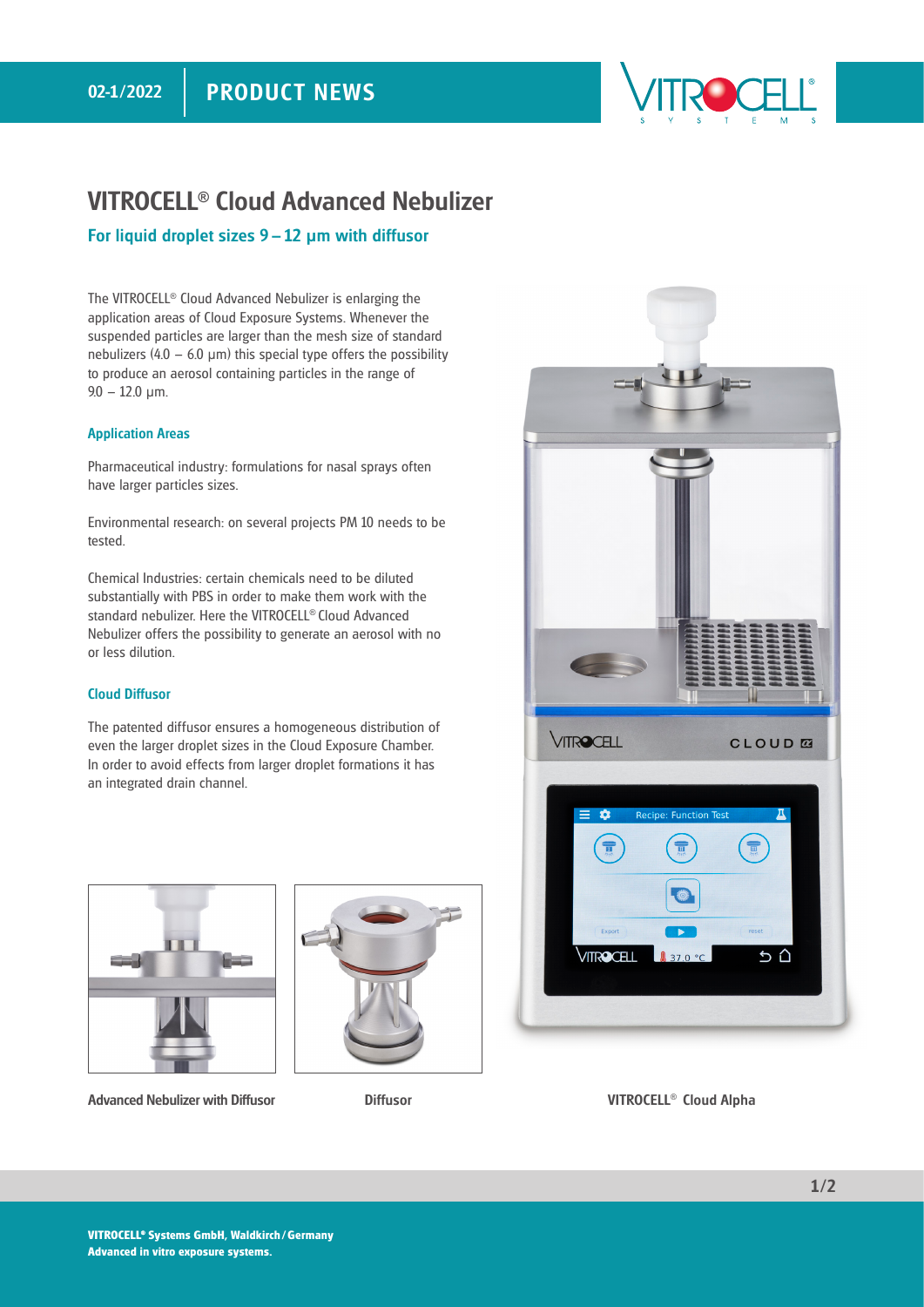#### PRODUCT NEWS 02-1/2022



## VITROCELL**®** Cloud Advanced Nebulizer

#### For liquid droplet sizes 9 – 12 **μ**m with diffusor

The VITROCELL® Cloud Advanced Nebulizer is enlarging the application areas of Cloud Exposure Systems. Whenever the suspended particles are larger than the mesh size of standard nebulizers (4.0 – 6.0  $\mu$ m) this special type offers the possibility to produce an aerosol containing particles in the range of  $9.0 - 12.0$  μm.

#### Application Areas

Pharmaceutical industry: formulations for nasal sprays often have larger particles sizes.

Environmental research: on several projects PM 10 needs to be tested.

Chemical Industries: certain chemicals need to be diluted substantially with PBS in order to make them work with the standard nebulizer. Here the VITROCELL® Cloud Advanced Nebulizer offers the possibility to generate an aerosol with no or less dilution.

#### Cloud Diffusor

The patented diffusor ensures a homogeneous distribution of even the larger droplet sizes in the Cloud Exposure Chamber. In order to avoid effects from larger droplet formations it has an integrated drain channel.



Advanced Nebulizer with Diffusor Mathematic Diffusor Cloud Alpha Cloud Alpha